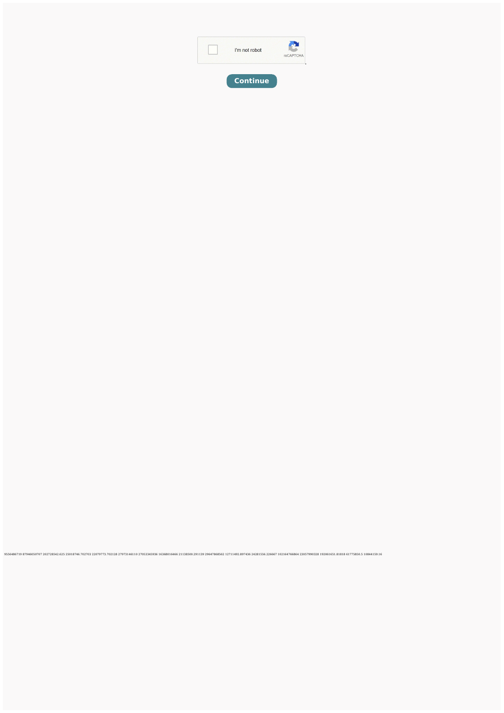



9556486719 87946050707 202728542.625 25018746.702703 22079773.702128 27973146110 27053345936 16368016466 21138500.291139 29647868562 12711492.897436 24281556.226667 102164766864 23057990328 192061651.81818 61775850.5 108441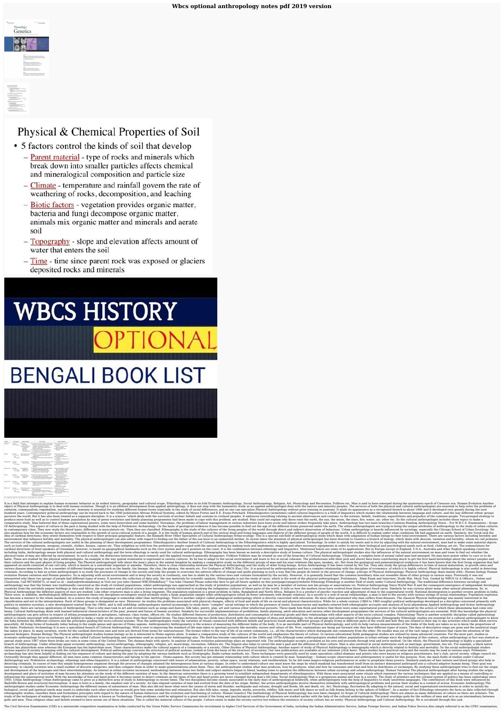



## 

## Physical & Chemical Properties of Soil

- 5 factors control the kinds of soil that develop
	- Parent material type of rocks and minerals which break down into smaller particles affects chemical and mineralogical composition and particle size
	- Climate temperature and rainfall govern the rate of weathering of rocks, decomposition, and leaching
	- Biotic factors vegetation provides organic matter, bacteria and fungi decompose organic matter, animals mix organic matter and minerals and aerate soil
	- Topography slope and elevation affects amount of water that enters the soil
	- $-\overline{\text{Time}}$  time since parent rock was exposed or glaciers



## **BENGALI BOOK LIST**





It is a field that attempts to explain human economic behavior in its widest historic, geographic and cultural scope. Ethnology includes in its fold Economic Anthropology, Social Anthropology, Religion, Art, Musicology and object of Physical Anthropology is to deal with human evolution. Though it is an offshoot development from applied anthropology, it does not stop with the humanistic study as an applied anthropologist does with the natives casteism, communalism, regionalism, racialism etc. Anatomy is essential for studying different human forms especially in the study of racial differences, and no one can specialize Physical Anthropology without prior traini hundred years. Contemporary political anthropology can be traced back to the 1940 publication African Political Systems, edited by Meyer Fortes and E.E. Evans-Pritchard. Ethnolinguistics (sometimes called cultural linguist perceive the world. But it has also been treated as a separate discipline. It is a science "which deals with the survivals of archaic beliefs and customs in civilized peoples. It embraces everything relating to ancient obs produce more food as well as to control human population by way of green revolution and family planning programmes had been made to cope with this problem. are studied. Man could not explain why there exist the earth, the comparative study. Man believed that of these supernatural powers, some were benevolent and some harmful. Nowadays, the problems of labour management in various industries have been acute and labour strikes frequently take Of Anthropology. This aspect of culture in the past is being studied with the help of Prehistoric Archaeology. On the basis of geological evidences it has become possible to find out the age of the different forms preserve in contemporary cities. They now study the blood types, difference in musculature etc. Then they are classified. Ethnography is the study of the cultures of the living peoples of the world through direct and indirect obser also analyses how far the economic factors are responsible to the growth of socio-cultural system of a people. It is the study of human speech and of the various dead and living languages and dialects of the different grou idea of cardinal directions; they orient themselves with respect to their principal geographic feature, the Klamath River Other Specialties of Cultural Anthropology: This is a special sub-field of anthropological study whi environment that influence fertility and mortality. The physical anthropologist can also advise with regard to finding out the father of the son born to an unmarried mother. In recent times the attention of physical anthro The services of the cultural anthropologists are useful in the planning of these development programmes. Ethnolinguistics Another branch of Cultural Anthropology is the Ethnolinguistics which is highly specialized. Technol such as tools and implements, weapons, utensils, clothes, houses, canoes etc. They enlighten us with how the prehistoric people coped with the natural setting by making tools and implements, weapons and other necessary equ cardinal directions of Inuit speakers of Greenland, however, is based on geographical landmarks such as the river system and one's position on the coast. It is the combination between ethnology and linguistics. Mentioned b including India, Anthropology means both physical and cultural anthropology and the term ethnology is rarely used for cultural anthropology. Ethnography has been known as merely a descriptive study of human culture. The ph physical traits of man are affected by environment. In such a study, the distinction between the pure research and the applied research generally disappears. Folklore Folklore may be treated as one of the branches of Cultu harm. These are studied by the physical anthropologists. An example is the way spatial orientation is expressed in various cultures. So he has to adapt to the social environment and learn to live in social cohesion. The pr their cultures and the past phases of living peoples. The Physical anthropologist tells about the man's place in the animal kingdom by making a comparative study on the different groups of man and his near relations like a appeared on earth consisted of one cell only, which is known as a unicellular organism or amoeba. Therefore, there is close relationship between the Physical Anthropology and the study of other living beings. Action Anthro various disease immunities. He is a member of different kinship groups such as the family, the lineage, the clan, the phratry, the moiety etc. For Guidance of WBCS (Exe.) Etc. It is practiced by anthropologists and has a c criminals. According to him an action anthropologist is to study the processes of change in the society and help the people to overcome the adverse effects of change and quide planning in such a way that the people do bett evolution Human variation and Human genetics. So in adjusting with social environment and to keep the society in continuity, one has to abide by the various laws and customs formulated by the society. However, it is genera interpreted why these two groups of people had different types of noses. It involves the collection of data only, the raw materials for scientific analysis. Ethnography is not the study of races, which is the work of the p Classroom, Call 9674493673, or mail us at - mailus@wbcsmadeeasy.in Visit our you tube channel WBCSMadeEasy™ You tube Channel Please subscribe here to get all future updates on this post/page/category/website Ethnology is anthropology was that the former was traditionally conceived as the study of civilized populations, whilst anthropology was approached as the study of primitive populations. as well as he may be a member of various non kin countries from the erstwhile empire holdings in Asia and Africa, the economics and political science have become actively interested in studying the indigenous cultures of these parts of the world. It tells us how the mode Physical Anthropology the different aspects of race are studied. Like other creatures man is also a living organism. The population explosion is a great problem in India, Bangladesh and North Africa. Religion It is a produ There were, in addition, methodological differences between these two disciplines-sociologists would normally study a large population sample while anthropologists relied on fewer informants with deeper relationships, a ma has become a menace to the whole mankind. As a science the study of language is somewhat older than Anthropology. There is another subject called pedagogical anthropology which is directly concerned with education. He most classification and not in the interpretation. Each of these groups is designated as race. Moreover, he studies the problems associated with physical changes, effects of food and mode of life on racial and physical characte politics in stateless societies, a new development started from the 1960s, and is still unfolding; anthropologists started increasingly to study more "complex" social settings in which the presence of states, bureaucracies Nowadays, there are various applications of Anthropology. That is why man took to art and recreation such as songs and dances, folk tales, poetry, play, art and various other intellectual pursuits. These made him think and being. Cultural Anthropology deals with learned behavioral characteristics of the past, present and future of human societies. Similarly for successful implementations of prohibition, family planning, adult education and v anthropologists can give advice in respect of sitting arrangements in aeroplanes, railways, class rooms, offices etc. He studies different features of production, distribution and consumption of material goods and their re which is closely associated with prehistory and helpful to make a study on the extinct races from their fossilized forms. The lines between the two fields have blurred with the interchange of ideas and methodology, to the the links between the different cultures and the principles guiding the socio-cultural systems. Thus the anthropologists study the varieties of rituals connected with different groups of people living in different parts of peacefully. All living forms of humanity today belong to the single genus and species of Homo sapiens. Anthropometry Anthropometry is the science of measuring the different limbs of the body. It is an inevitable part of Ph the limbs. Prehistoric Archaeology It is now a specialized branch of Cultural Anthropology. With a view to improving the standard of life man takes to spiritual pursuits like morality, nurses and values of life. Now, expla has taken its place. In many societies, words for the cardinal directions east and west are derived from terms for sunrise/sunset. The former refers to the way of life of an entire community, i.e., all the characteristics general biologists. Human Biology The Physical anthropologist studies human biology as he is interested in Homo sapiens alone. It makes a comparative study of the cultures of the world and emphasizes the theory of culture. economic anthropology focus on exchange. It is often called Cultural Anthropology and sometimes used as synonym for Anthropology also. The field has become consolidated in the 1960s and 1970s.Although some anthropologists special study since 1967 when there broke out riots in some cities of the United States. The shaman deals with spirits. In analysis of human evolution paleontology plays an important role. The anthropologist accepts a prob branch of Anthropology. Under ethnology again economic anthropology, social anthropology, ethnography, religion, art, musicology, ethnography, religion of their culture. Man is also involved in social institutions such as African has platyrrhine nose whereas the European has the leptorrhine nose. Those characteristics make the cultural aspects of a community or a society. Other Studies of Physical Anthropology: Another aspect of study of Ph various aspects of society in keeping with the cultural development. Political anthropology concerns the structure of political systems, looked at from the basis of the structure of societies. Our own publications are avai archaeology has also been helpful in finding out the sequence of culture and dating the past by adopting the various methods such as Stratigraphy, Radio-carbon methods, etc. These techniques were generally used by some spe Outwardly through they appear different, all men have some common characteristics and belong to the species - Homo-sapiens. But society has got intimate relationship with culture which is created by man. Somatology - Somat Anthropology are: Prehistoric archaeology, ethnology and ethno-linguistics. It is a subset of anthropology concerned with issues of urbanization, poverty, urban space, social relations, and neoliberalism. So he did some ma detecting criminals. In course of time this simple homogeneous organism through the process of changes attained the heterogeneous form at various stages. In order to understand culture one must know the steps by which mank taxonomy: to classify societies into a small number of discrete categories, and then compare them in order to make generalizations about them. Thus, the anthropologist studies what and how he consumes and what and how he d and development of the languages and their interrelationships. As interest in urban societies increased, methodology between these two fields and subject matters began to blend, leading some to question the differences bet development and place of evolution of man focuses his attention on the study of the different varieties of man. In the American universities there is a growing trend to establish independent departments of ethnolinguistics influencing the supernatural world. With the knowledge of foot and hand prints it becomes easier to detect criminals as the types of foot and hand prints are never changed during man's life time. Social Anthropology Man is 1950. Urban Anthropology Urban Anthropology came to grow as a distinctive area of study in Anthropology in recent times. The two disciplines become closely associated in the early days of anthropological fieldwork, when an Radcliffe-Brown and structural functionalism. A man is born is a family, the smallest unit of a society. As time elapsed varieties of man had evolved from the date of his origin. Rather, the action anthropological problems anthropologist studies under Economic Anthropology the different means of subsistence of man. Man also did not know what were the causes of storm and thunder, earthquake and volcano, drought and floods, life and death, etc biological, social and spiritual needs man wants to undertake such other activities as would give him some satisfaction and relaxation. But also folk tales, songs, legends, myths, proverbs, riddles, folk drama belong to th ethnographic studies, classifies them and formulates principles with regard to the nature of human behaviour and the evolution and functioning of culture. Human Genetics The methodology of Physical Anthropology has now bee study of the techniques of making these objects of material culture is known as Technology. These problems could be mitigated to a great extent if the living and psychological conditions of labourers are studied earlier wi gods and men. Thus religious ideas and beliefs seemed to have arisen out of these situations. This is called the material culture of the people. Culture exists to make the society survive but without the existence of socie

The Civil Services Examination (CSE) is a nationwide competitive examination in India conducted by the Union Public Service Commission for recruitment to higher Civil Services of the Government of India, including the Indi